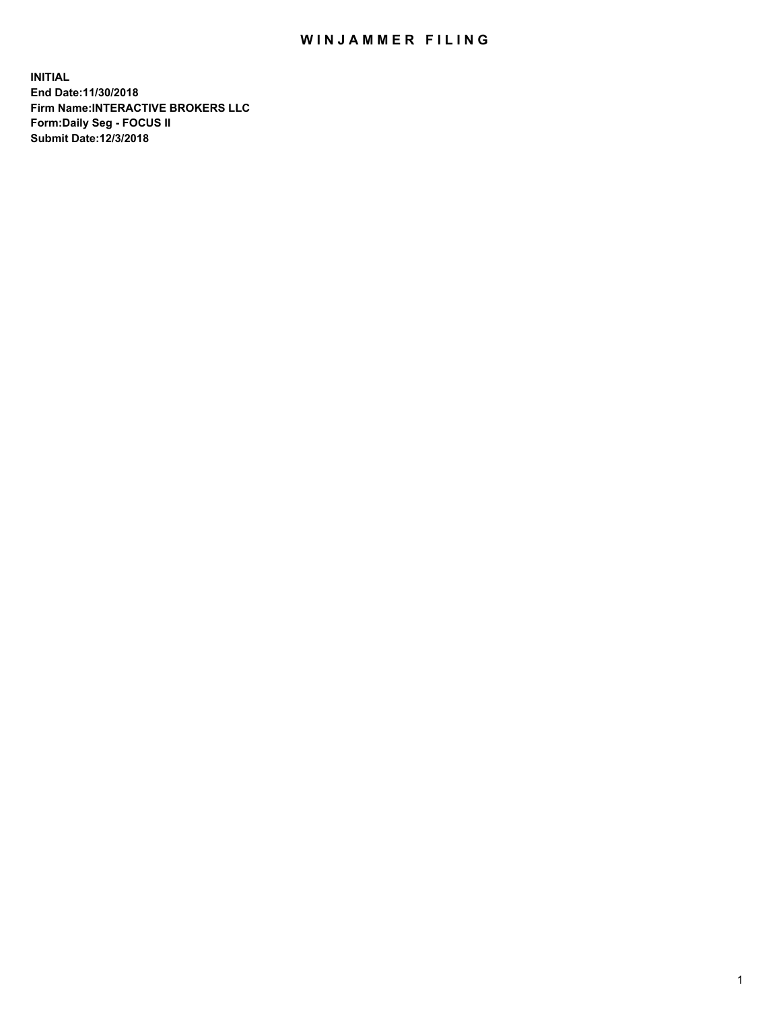## WIN JAMMER FILING

**INITIAL End Date:11/30/2018 Firm Name:INTERACTIVE BROKERS LLC Form:Daily Seg - FOCUS II Submit Date:12/3/2018**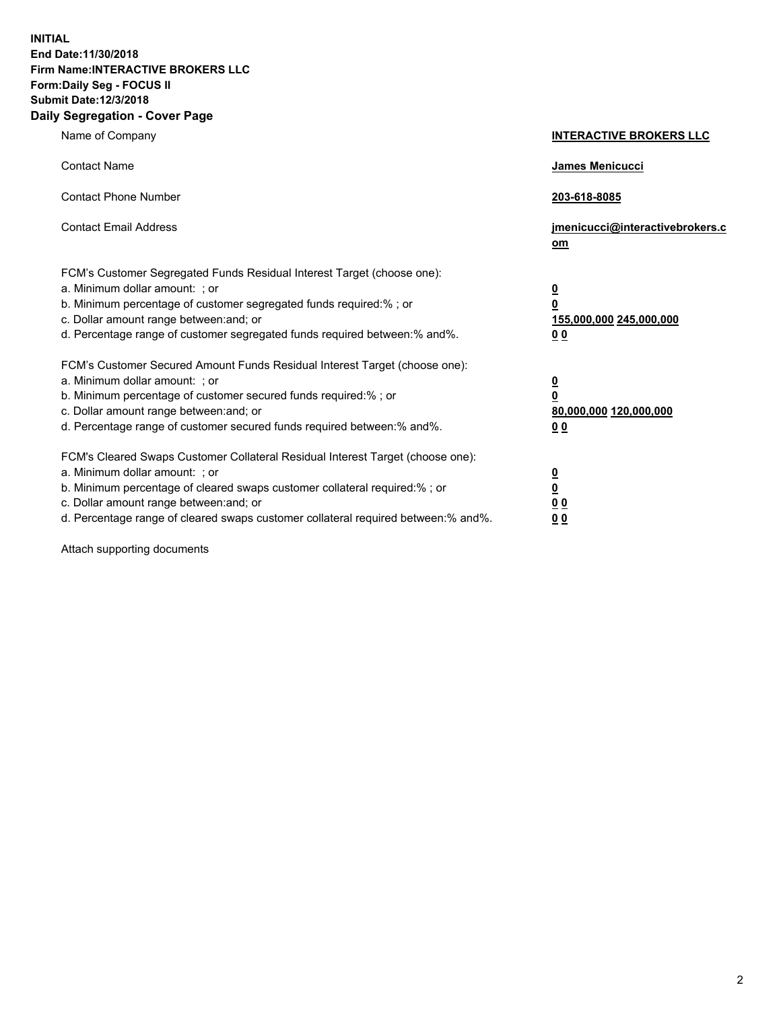**INITIAL End Date:11/30/2018 Firm Name:INTERACTIVE BROKERS LLC Form:Daily Seg - FOCUS II Submit Date:12/3/2018 Daily Segregation - Cover Page**

| Name of Company                                                                                                                                                                                                                                                                                                                | <b>INTERACTIVE BROKERS LLC</b>                                                          |
|--------------------------------------------------------------------------------------------------------------------------------------------------------------------------------------------------------------------------------------------------------------------------------------------------------------------------------|-----------------------------------------------------------------------------------------|
| <b>Contact Name</b>                                                                                                                                                                                                                                                                                                            | <b>James Menicucci</b>                                                                  |
| <b>Contact Phone Number</b>                                                                                                                                                                                                                                                                                                    | 203-618-8085                                                                            |
| <b>Contact Email Address</b>                                                                                                                                                                                                                                                                                                   | jmenicucci@interactivebrokers.c<br>om                                                   |
| FCM's Customer Segregated Funds Residual Interest Target (choose one):<br>a. Minimum dollar amount: ; or<br>b. Minimum percentage of customer segregated funds required:% ; or<br>c. Dollar amount range between: and; or<br>d. Percentage range of customer segregated funds required between:% and%.                         | $\overline{\mathbf{0}}$<br>$\overline{\mathbf{0}}$<br>155,000,000 245,000,000<br>00     |
| FCM's Customer Secured Amount Funds Residual Interest Target (choose one):<br>a. Minimum dollar amount: ; or<br>b. Minimum percentage of customer secured funds required:%; or<br>c. Dollar amount range between: and; or<br>d. Percentage range of customer secured funds required between:% and%.                            | $\overline{\mathbf{0}}$<br>$\pmb{0}$<br>80,000,000 120,000,000<br>00                    |
| FCM's Cleared Swaps Customer Collateral Residual Interest Target (choose one):<br>a. Minimum dollar amount: ; or<br>b. Minimum percentage of cleared swaps customer collateral required:% ; or<br>c. Dollar amount range between: and; or<br>d. Percentage range of cleared swaps customer collateral required between:% and%. | $\overline{\mathbf{0}}$<br>$\underline{\mathbf{0}}$<br>0 <sub>0</sub><br>0 <sub>0</sub> |

Attach supporting documents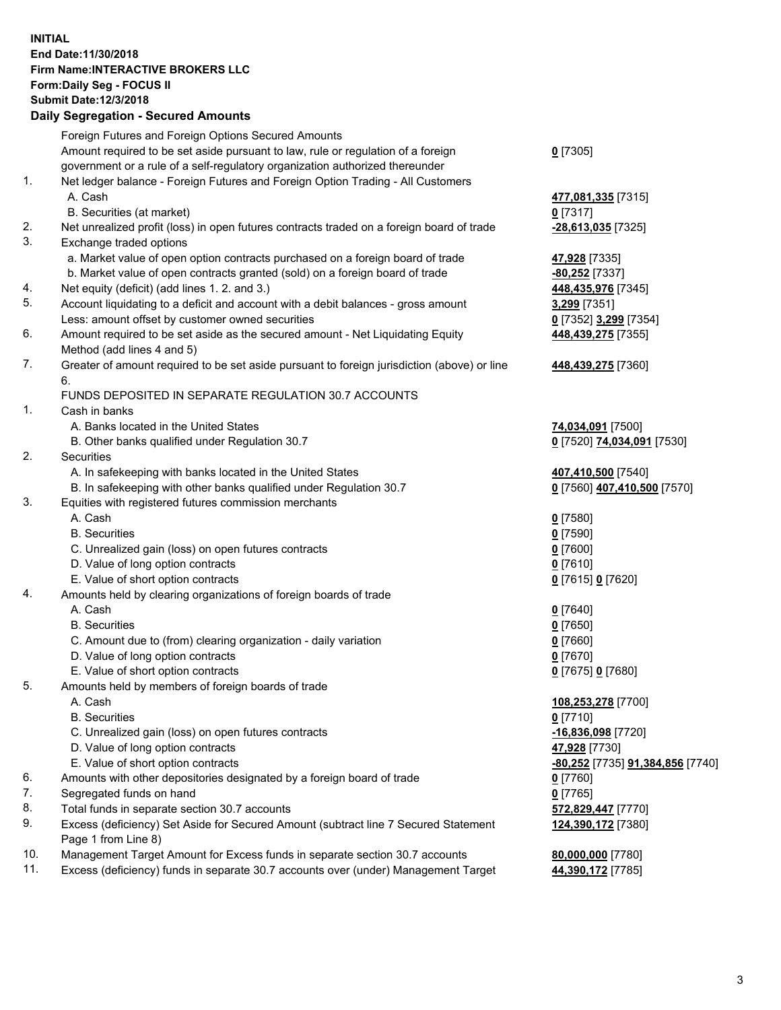## **INITIAL End Date:11/30/2018 Firm Name:INTERACTIVE BROKERS LLC Form:Daily Seg - FOCUS II Submit Date:12/3/2018 Daily Segregation - Secured Amounts**

|                | Dany Ocgregation - Oceaned Anioante                                                         |                                                |
|----------------|---------------------------------------------------------------------------------------------|------------------------------------------------|
|                | Foreign Futures and Foreign Options Secured Amounts                                         |                                                |
|                | Amount required to be set aside pursuant to law, rule or regulation of a foreign            | $0$ [7305]                                     |
|                | government or a rule of a self-regulatory organization authorized thereunder                |                                                |
| 1.             | Net ledger balance - Foreign Futures and Foreign Option Trading - All Customers             |                                                |
|                | A. Cash                                                                                     | 477,081,335 [7315]                             |
|                | B. Securities (at market)                                                                   | $0$ [7317]                                     |
| 2.             | Net unrealized profit (loss) in open futures contracts traded on a foreign board of trade   | -28,613,035 [7325]                             |
| 3.             | Exchange traded options                                                                     |                                                |
|                | a. Market value of open option contracts purchased on a foreign board of trade              | 47,928 [7335]                                  |
|                | b. Market value of open contracts granted (sold) on a foreign board of trade                | -80,252 [7337]                                 |
| 4.             | Net equity (deficit) (add lines 1. 2. and 3.)                                               | 448,435,976 [7345]                             |
| 5.             | Account liquidating to a deficit and account with a debit balances - gross amount           | 3,299 [7351]                                   |
|                | Less: amount offset by customer owned securities                                            | 0 [7352] 3,299 [7354]                          |
| 6.             | Amount required to be set aside as the secured amount - Net Liquidating Equity              | 448,439,275 [7355]                             |
|                | Method (add lines 4 and 5)                                                                  |                                                |
| 7.             | Greater of amount required to be set aside pursuant to foreign jurisdiction (above) or line | 448,439,275 [7360]                             |
|                | 6.<br>FUNDS DEPOSITED IN SEPARATE REGULATION 30.7 ACCOUNTS                                  |                                                |
| $\mathbf{1}$ . | Cash in banks                                                                               |                                                |
|                | A. Banks located in the United States                                                       | 74,034,091 [7500]                              |
|                | B. Other banks qualified under Regulation 30.7                                              | 0 [7520] 74,034,091 [7530]                     |
| 2.             | Securities                                                                                  |                                                |
|                | A. In safekeeping with banks located in the United States                                   | 407,410,500 [7540]                             |
|                | B. In safekeeping with other banks qualified under Regulation 30.7                          | 0 [7560] 407,410,500 [7570]                    |
| 3.             | Equities with registered futures commission merchants                                       |                                                |
|                | A. Cash                                                                                     | $0$ [7580]                                     |
|                | <b>B.</b> Securities                                                                        | $0$ [7590]                                     |
|                | C. Unrealized gain (loss) on open futures contracts                                         | $0$ [7600]                                     |
|                | D. Value of long option contracts                                                           | $0$ [7610]                                     |
|                | E. Value of short option contracts                                                          | 0 [7615] 0 [7620]                              |
| 4.             | Amounts held by clearing organizations of foreign boards of trade                           |                                                |
|                | A. Cash                                                                                     | $0$ [7640]                                     |
|                | <b>B.</b> Securities                                                                        | $0$ [7650]                                     |
|                | C. Amount due to (from) clearing organization - daily variation                             | $0$ [7660]                                     |
|                | D. Value of long option contracts                                                           | $0$ [7670]                                     |
|                | E. Value of short option contracts                                                          | 0 [7675] 0 [7680]                              |
| 5.             | Amounts held by members of foreign boards of trade                                          |                                                |
|                | A. Cash                                                                                     | 108,253,278 [7700]                             |
|                | <b>B.</b> Securities                                                                        | $0$ [7710]                                     |
|                | C. Unrealized gain (loss) on open futures contracts                                         | -16,836,098 [7720]                             |
|                | D. Value of long option contracts                                                           | 47,928 [7730]                                  |
|                | E. Value of short option contracts                                                          | <u>-80,252</u> [7735] <u>91,384,856</u> [7740] |
| 6.             | Amounts with other depositories designated by a foreign board of trade                      | $0$ [7760]                                     |
| 7.             | Segregated funds on hand                                                                    | $0$ [7765]                                     |
| 8.             | Total funds in separate section 30.7 accounts                                               | 572,829,447 [7770]                             |
| 9.             | Excess (deficiency) Set Aside for Secured Amount (subtract line 7 Secured Statement         | 124,390,172 [7380]                             |
|                | Page 1 from Line 8)                                                                         |                                                |
| 10.            | Management Target Amount for Excess funds in separate section 30.7 accounts                 | 80,000,000 [7780]                              |
| 11.            | Excess (deficiency) funds in separate 30.7 accounts over (under) Management Target          | 44,390,172 [7785]                              |
|                |                                                                                             |                                                |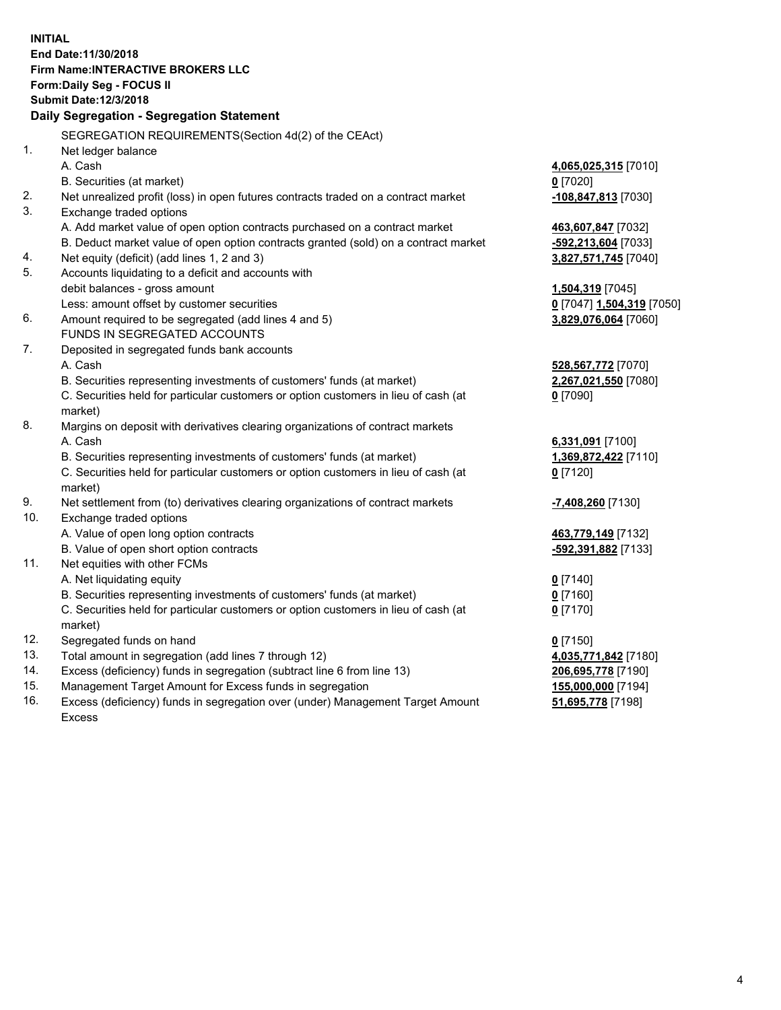**INITIAL End Date:11/30/2018 Firm Name:INTERACTIVE BROKERS LLC Form:Daily Seg - FOCUS II Submit Date:12/3/2018 Daily Segregation - Segregation Statement** SEGREGATION REQUIREMENTS(Section 4d(2) of the CEAct) 1. Net ledger balance A. Cash **4,065,025,315** [7010] B. Securities (at market) **0** [7020] 2. Net unrealized profit (loss) in open futures contracts traded on a contract market **-108,847,813** [7030] 3. Exchange traded options A. Add market value of open option contracts purchased on a contract market **463,607,847** [7032] B. Deduct market value of open option contracts granted (sold) on a contract market **-592,213,604** [7033] 4. Net equity (deficit) (add lines 1, 2 and 3) **3,827,571,745** [7040] 5. Accounts liquidating to a deficit and accounts with debit balances - gross amount **1,504,319** [7045] Less: amount offset by customer securities **0** [7047] **1,504,319** [7050] 6. Amount required to be segregated (add lines 4 and 5) **3,829,076,064** [7060] FUNDS IN SEGREGATED ACCOUNTS 7. Deposited in segregated funds bank accounts A. Cash **528,567,772** [7070] B. Securities representing investments of customers' funds (at market) **2,267,021,550** [7080] C. Securities held for particular customers or option customers in lieu of cash (at market) **0** [7090] 8. Margins on deposit with derivatives clearing organizations of contract markets A. Cash **6,331,091** [7100] B. Securities representing investments of customers' funds (at market) **1,369,872,422** [7110] C. Securities held for particular customers or option customers in lieu of cash (at market) **0** [7120] 9. Net settlement from (to) derivatives clearing organizations of contract markets **-7,408,260** [7130] 10. Exchange traded options A. Value of open long option contracts **463,779,149** [7132] B. Value of open short option contracts **-592,391,882** [7133] 11. Net equities with other FCMs A. Net liquidating equity **0** [7140] B. Securities representing investments of customers' funds (at market) **0** [7160] C. Securities held for particular customers or option customers in lieu of cash (at market) **0** [7170] 12. Segregated funds on hand **0** [7150] 13. Total amount in segregation (add lines 7 through 12) **4,035,771,842** [7180] 14. Excess (deficiency) funds in segregation (subtract line 6 from line 13) **206,695,778** [7190] 15. Management Target Amount for Excess funds in segregation **155,000,000** [7194]

16. Excess (deficiency) funds in segregation over (under) Management Target Amount Excess

**51,695,778** [7198]